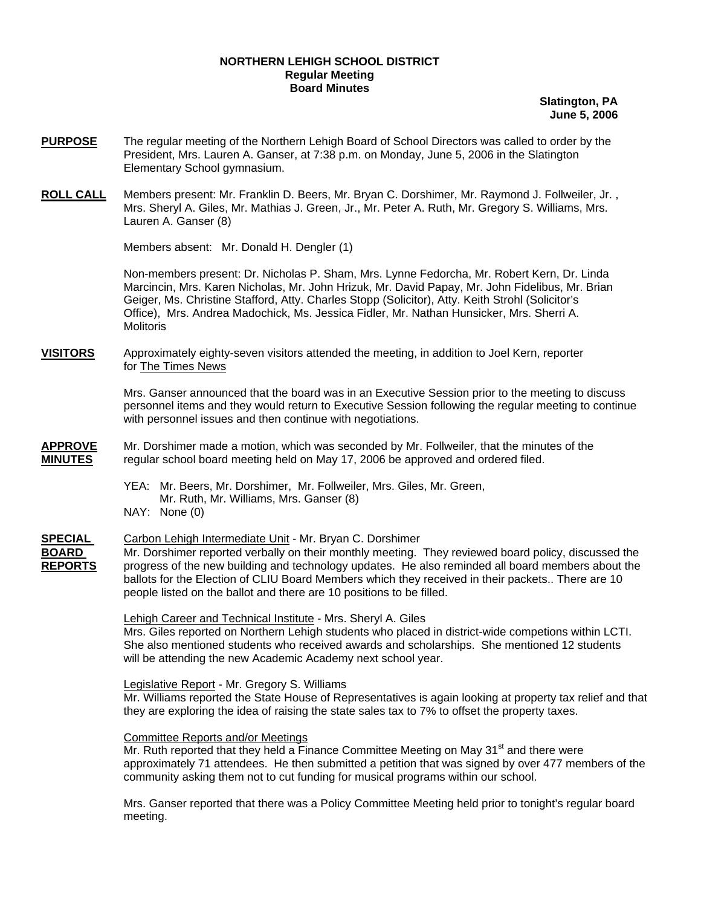### **NORTHERN LEHIGH SCHOOL DISTRICT Regular Meeting Board Minutes**

**Slatington, PA June 5, 2006**

- **PURPOSE** The regular meeting of the Northern Lehigh Board of School Directors was called to order by the President, Mrs. Lauren A. Ganser, at 7:38 p.m. on Monday, June 5, 2006 in the Slatington Elementary School gymnasium.
- **ROLL CALL** Members present: Mr. Franklin D. Beers, Mr. Bryan C. Dorshimer, Mr. Raymond J. Follweiler, Jr. , Mrs. Sheryl A. Giles, Mr. Mathias J. Green, Jr., Mr. Peter A. Ruth, Mr. Gregory S. Williams, Mrs. Lauren A. Ganser (8)

Members absent: Mr. Donald H. Dengler (1)

Non-members present: Dr. Nicholas P. Sham, Mrs. Lynne Fedorcha, Mr. Robert Kern, Dr. Linda Marcincin, Mrs. Karen Nicholas, Mr. John Hrizuk, Mr. David Papay, Mr. John Fidelibus, Mr. Brian Geiger, Ms. Christine Stafford, Atty. Charles Stopp (Solicitor), Atty. Keith Strohl (Solicitor's Office), Mrs. Andrea Madochick, Ms. Jessica Fidler, Mr. Nathan Hunsicker, Mrs. Sherri A. **Molitoris** 

**VISITORS** Approximately eighty-seven visitors attended the meeting, in addition to Joel Kern, reporter for The Times News

> Mrs. Ganser announced that the board was in an Executive Session prior to the meeting to discuss personnel items and they would return to Executive Session following the regular meeting to continue with personnel issues and then continue with negotiations.

**APPROVE** Mr. Dorshimer made a motion, which was seconded by Mr. Follweiler, that the minutes of the **MINUTES** regular school board meeting held on May 17, 2006 be approved and ordered filed.

> YEA: Mr. Beers, Mr. Dorshimer, Mr. Follweiler, Mrs. Giles, Mr. Green, Mr. Ruth, Mr. Williams, Mrs. Ganser (8) NAY: None (0)

## **SPECIAL** Carbon Lehigh Intermediate Unit - Mr. Bryan C. Dorshimer **BOARD** Mr. Dorshimer reported verbally on their monthly meeting. They reviewed board policy, discussed the **REPORTS** progress of the new building and technology updates. He also reminded all board members about the ballots for the Election of CLIU Board Members which they received in their packets.. There are 10 people listed on the ballot and there are 10 positions to be filled.

 Lehigh Career and Technical Institute - Mrs. Sheryl A. Giles Mrs. Giles reported on Northern Lehigh students who placed in district-wide competions within LCTI. She also mentioned students who received awards and scholarships. She mentioned 12 students will be attending the new Academic Academy next school year.

 Legislative Report - Mr. Gregory S. Williams Mr. Williams reported the State House of Representatives is again looking at property tax relief and that they are exploring the idea of raising the state sales tax to 7% to offset the property taxes.

Committee Reports and/or Meetings

Mr. Ruth reported that they held a Finance Committee Meeting on May  $31<sup>st</sup>$  and there were approximately 71 attendees. He then submitted a petition that was signed by over 477 members of the community asking them not to cut funding for musical programs within our school.

 Mrs. Ganser reported that there was a Policy Committee Meeting held prior to tonight's regular board meeting.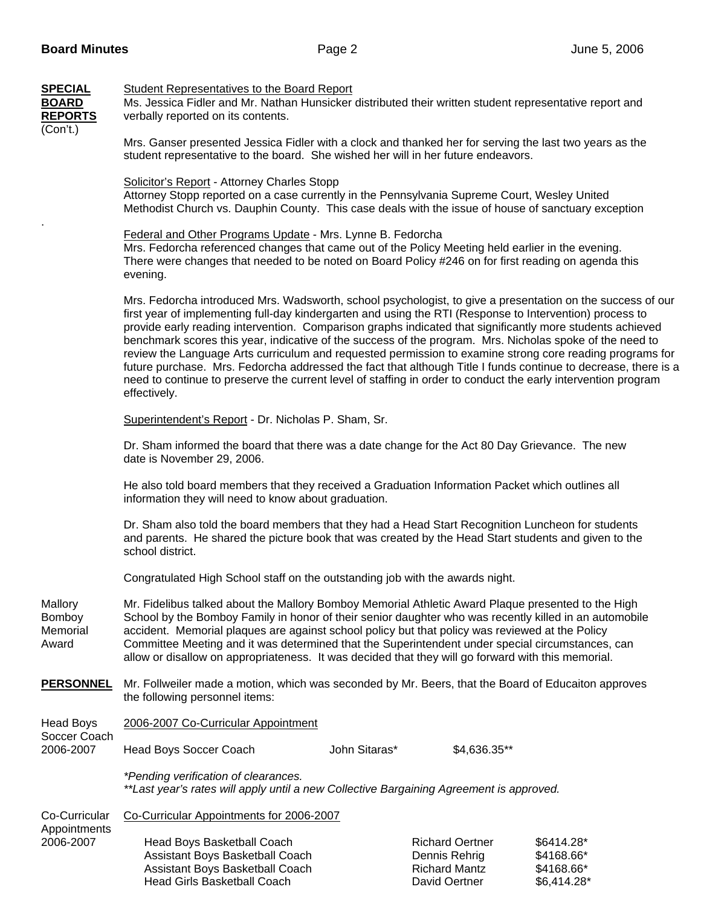| <b>SPECIAL</b><br><b>BOARD</b><br><b>REPORTS</b><br>(Con't.) | <b>Student Representatives to the Board Report</b><br>Ms. Jessica Fidler and Mr. Nathan Hunsicker distributed their written student representative report and<br>verbally reported on its contents.                                                                                                                                                                                                                                                                                                                                                                                                                                                                                                                                                                                                            |               |                                                                                  |                                                       |  |
|--------------------------------------------------------------|----------------------------------------------------------------------------------------------------------------------------------------------------------------------------------------------------------------------------------------------------------------------------------------------------------------------------------------------------------------------------------------------------------------------------------------------------------------------------------------------------------------------------------------------------------------------------------------------------------------------------------------------------------------------------------------------------------------------------------------------------------------------------------------------------------------|---------------|----------------------------------------------------------------------------------|-------------------------------------------------------|--|
|                                                              | Mrs. Ganser presented Jessica Fidler with a clock and thanked her for serving the last two years as the<br>student representative to the board. She wished her will in her future endeavors.                                                                                                                                                                                                                                                                                                                                                                                                                                                                                                                                                                                                                   |               |                                                                                  |                                                       |  |
|                                                              | Solicitor's Report - Attorney Charles Stopp<br>Attorney Stopp reported on a case currently in the Pennsylvania Supreme Court, Wesley United<br>Methodist Church vs. Dauphin County. This case deals with the issue of house of sanctuary exception                                                                                                                                                                                                                                                                                                                                                                                                                                                                                                                                                             |               |                                                                                  |                                                       |  |
|                                                              | Federal and Other Programs Update - Mrs. Lynne B. Fedorcha<br>Mrs. Fedorcha referenced changes that came out of the Policy Meeting held earlier in the evening.<br>There were changes that needed to be noted on Board Policy #246 on for first reading on agenda this<br>evening.                                                                                                                                                                                                                                                                                                                                                                                                                                                                                                                             |               |                                                                                  |                                                       |  |
|                                                              | Mrs. Fedorcha introduced Mrs. Wadsworth, school psychologist, to give a presentation on the success of our<br>first year of implementing full-day kindergarten and using the RTI (Response to Intervention) process to<br>provide early reading intervention. Comparison graphs indicated that significantly more students achieved<br>benchmark scores this year, indicative of the success of the program. Mrs. Nicholas spoke of the need to<br>review the Language Arts curriculum and requested permission to examine strong core reading programs for<br>future purchase. Mrs. Fedorcha addressed the fact that although Title I funds continue to decrease, there is a<br>need to continue to preserve the current level of staffing in order to conduct the early intervention program<br>effectively. |               |                                                                                  |                                                       |  |
|                                                              | Superintendent's Report - Dr. Nicholas P. Sham, Sr.                                                                                                                                                                                                                                                                                                                                                                                                                                                                                                                                                                                                                                                                                                                                                            |               |                                                                                  |                                                       |  |
|                                                              | Dr. Sham informed the board that there was a date change for the Act 80 Day Grievance. The new<br>date is November 29, 2006.                                                                                                                                                                                                                                                                                                                                                                                                                                                                                                                                                                                                                                                                                   |               |                                                                                  |                                                       |  |
|                                                              | He also told board members that they received a Graduation Information Packet which outlines all<br>information they will need to know about graduation.                                                                                                                                                                                                                                                                                                                                                                                                                                                                                                                                                                                                                                                       |               |                                                                                  |                                                       |  |
|                                                              | Dr. Sham also told the board members that they had a Head Start Recognition Luncheon for students<br>and parents. He shared the picture book that was created by the Head Start students and given to the<br>school district.                                                                                                                                                                                                                                                                                                                                                                                                                                                                                                                                                                                  |               |                                                                                  |                                                       |  |
|                                                              | Congratulated High School staff on the outstanding job with the awards night.                                                                                                                                                                                                                                                                                                                                                                                                                                                                                                                                                                                                                                                                                                                                  |               |                                                                                  |                                                       |  |
| Mallory<br><b>Bomboy</b><br>Memorial<br>Award                | Mr. Fidelibus talked about the Mallory Bomboy Memorial Athletic Award Plaque presented to the High<br>School by the Bomboy Family in honor of their senior daughter who was recently killed in an automobile<br>accident. Memorial plaques are against school policy but that policy was reviewed at the Policy<br>Committee Meeting and it was determined that the Superintendent under special circumstances, can<br>allow or disallow on appropriateness. It was decided that they will go forward with this memorial.                                                                                                                                                                                                                                                                                      |               |                                                                                  |                                                       |  |
| <b>PERSONNEL</b>                                             | Mr. Follweiler made a motion, which was seconded by Mr. Beers, that the Board of Educaiton approves<br>the following personnel items:                                                                                                                                                                                                                                                                                                                                                                                                                                                                                                                                                                                                                                                                          |               |                                                                                  |                                                       |  |
| <b>Head Boys</b><br>Soccer Coach<br>2006-2007                | 2006-2007 Co-Curricular Appointment                                                                                                                                                                                                                                                                                                                                                                                                                                                                                                                                                                                                                                                                                                                                                                            |               |                                                                                  |                                                       |  |
|                                                              | Head Boys Soccer Coach                                                                                                                                                                                                                                                                                                                                                                                                                                                                                                                                                                                                                                                                                                                                                                                         | John Sitaras* | \$4,636.35**                                                                     |                                                       |  |
|                                                              | *Pending verification of clearances.<br>**Last year's rates will apply until a new Collective Bargaining Agreement is approved.                                                                                                                                                                                                                                                                                                                                                                                                                                                                                                                                                                                                                                                                                |               |                                                                                  |                                                       |  |
| Co-Curricular                                                | Co-Curricular Appointments for 2006-2007                                                                                                                                                                                                                                                                                                                                                                                                                                                                                                                                                                                                                                                                                                                                                                       |               |                                                                                  |                                                       |  |
| Appointments<br>2006-2007                                    | Head Boys Basketball Coach<br>Assistant Boys Basketball Coach<br>Assistant Boys Basketball Coach<br><b>Head Girls Basketball Coach</b>                                                                                                                                                                                                                                                                                                                                                                                                                                                                                                                                                                                                                                                                         |               | <b>Richard Oertner</b><br>Dennis Rehrig<br><b>Richard Mantz</b><br>David Oertner | \$6414.28*<br>\$4168.66*<br>\$4168.66*<br>\$6,414.28* |  |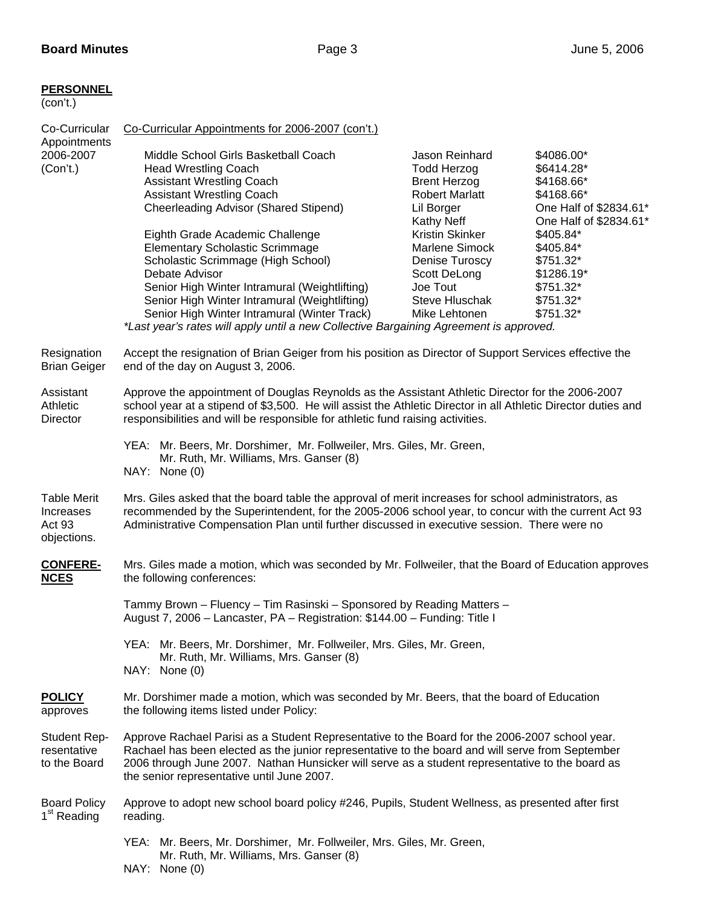# **PERSONNEL**

| (con't.)                                                 |                                                                                                                                                                                                                                                                                                                                                                               |                                                                                                                         |                                                                                                          |  |
|----------------------------------------------------------|-------------------------------------------------------------------------------------------------------------------------------------------------------------------------------------------------------------------------------------------------------------------------------------------------------------------------------------------------------------------------------|-------------------------------------------------------------------------------------------------------------------------|----------------------------------------------------------------------------------------------------------|--|
| Co-Curricular<br>Appointments<br>2006-2007<br>(Con't.)   | Co-Curricular Appointments for 2006-2007 (con't.)                                                                                                                                                                                                                                                                                                                             |                                                                                                                         |                                                                                                          |  |
|                                                          | Middle School Girls Basketball Coach<br><b>Head Wrestling Coach</b><br><b>Assistant Wrestling Coach</b><br><b>Assistant Wrestling Coach</b><br>Cheerleading Advisor (Shared Stipend)                                                                                                                                                                                          | Jason Reinhard<br><b>Todd Herzog</b><br><b>Brent Herzog</b><br><b>Robert Marlatt</b><br>Lil Borger<br><b>Kathy Neff</b> | \$4086.00*<br>\$6414.28*<br>\$4168.66*<br>\$4168.66*<br>One Half of \$2834.61*<br>One Half of \$2834.61* |  |
|                                                          | Eighth Grade Academic Challenge<br><b>Elementary Scholastic Scrimmage</b><br>Scholastic Scrimmage (High School)<br>Debate Advisor<br>Senior High Winter Intramural (Weightlifting)<br>Senior High Winter Intramural (Weightlifting)<br>Senior High Winter Intramural (Winter Track)<br>*Last year's rates will apply until a new Collective Bargaining Agreement is approved. | Kristin Skinker<br>Marlene Simock<br>Denise Turoscy<br>Scott DeLong<br>Joe Tout<br>Steve Hluschak<br>Mike Lehtonen      | \$405.84*<br>\$405.84*<br>\$751.32*<br>\$1286.19*<br>\$751.32*<br>\$751.32*<br>\$751.32*                 |  |
| Resignation<br><b>Brian Geiger</b>                       | Accept the resignation of Brian Geiger from his position as Director of Support Services effective the<br>end of the day on August 3, 2006.                                                                                                                                                                                                                                   |                                                                                                                         |                                                                                                          |  |
| Assistant<br>Athletic<br>Director                        | Approve the appointment of Douglas Reynolds as the Assistant Athletic Director for the 2006-2007<br>school year at a stipend of \$3,500. He will assist the Athletic Director in all Athletic Director duties and<br>responsibilities and will be responsible for athletic fund raising activities.                                                                           |                                                                                                                         |                                                                                                          |  |
|                                                          | YEA: Mr. Beers, Mr. Dorshimer, Mr. Follweiler, Mrs. Giles, Mr. Green,<br>Mr. Ruth, Mr. Williams, Mrs. Ganser (8)<br>NAY: None (0)                                                                                                                                                                                                                                             |                                                                                                                         |                                                                                                          |  |
| <b>Table Merit</b><br>Increases<br>Act 93<br>objections. | Mrs. Giles asked that the board table the approval of merit increases for school administrators, as<br>recommended by the Superintendent, for the 2005-2006 school year, to concur with the current Act 93<br>Administrative Compensation Plan until further discussed in executive session. There were no                                                                    |                                                                                                                         |                                                                                                          |  |
| <b>CONFERE-</b><br><b>NCES</b>                           | Mrs. Giles made a motion, which was seconded by Mr. Follweiler, that the Board of Education approves<br>the following conferences:                                                                                                                                                                                                                                            |                                                                                                                         |                                                                                                          |  |
|                                                          | Tammy Brown - Fluency - Tim Rasinski - Sponsored by Reading Matters -<br>August 7, 2006 - Lancaster, PA - Registration: \$144.00 - Funding: Title I                                                                                                                                                                                                                           |                                                                                                                         |                                                                                                          |  |
|                                                          | YEA: Mr. Beers, Mr. Dorshimer, Mr. Follweiler, Mrs. Giles, Mr. Green,<br>Mr. Ruth, Mr. Williams, Mrs. Ganser (8)<br>NAY: None (0)                                                                                                                                                                                                                                             |                                                                                                                         |                                                                                                          |  |
| <b>POLICY</b><br>approves                                | Mr. Dorshimer made a motion, which was seconded by Mr. Beers, that the board of Education<br>the following items listed under Policy:                                                                                                                                                                                                                                         |                                                                                                                         |                                                                                                          |  |
| <b>Student Rep-</b><br>resentative<br>to the Board       | Approve Rachael Parisi as a Student Representative to the Board for the 2006-2007 school year.<br>Rachael has been elected as the junior representative to the board and will serve from September<br>2006 through June 2007. Nathan Hunsicker will serve as a student representative to the board as<br>the senior representative until June 2007.                           |                                                                                                                         |                                                                                                          |  |
| <b>Board Policy</b><br>1 <sup>st</sup> Reading           | Approve to adopt new school board policy #246, Pupils, Student Wellness, as presented after first<br>reading.                                                                                                                                                                                                                                                                 |                                                                                                                         |                                                                                                          |  |
|                                                          | YEA: Mr. Beers, Mr. Dorshimer, Mr. Follweiler, Mrs. Giles, Mr. Green,<br>Mr. Ruth, Mr. Williams, Mrs. Ganser (8)                                                                                                                                                                                                                                                              |                                                                                                                         |                                                                                                          |  |

NAY: None (0)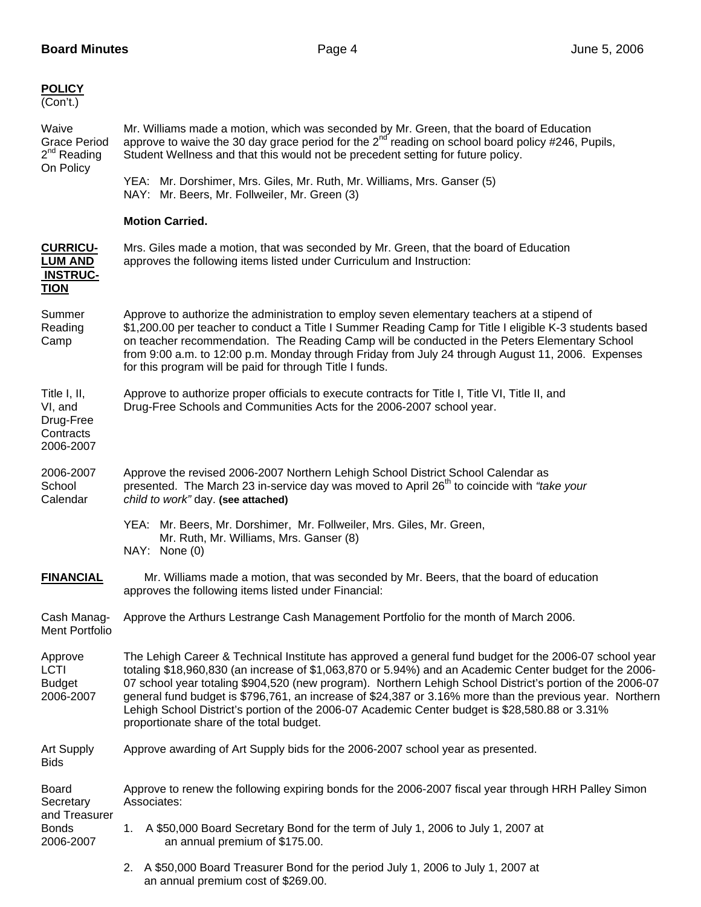| <b>POLICY</b><br>(Con't.)                                               |                                                                                                                                                                                                                                                                                                                                                                                                                                                                                                                                                                                          |  |  |
|-------------------------------------------------------------------------|------------------------------------------------------------------------------------------------------------------------------------------------------------------------------------------------------------------------------------------------------------------------------------------------------------------------------------------------------------------------------------------------------------------------------------------------------------------------------------------------------------------------------------------------------------------------------------------|--|--|
| Waive<br><b>Grace Period</b><br>$2nd$ Reading<br>On Policy              | Mr. Williams made a motion, which was seconded by Mr. Green, that the board of Education<br>approve to waive the 30 day grace period for the $2^{nd}$ reading on school board policy #246, Pupils,<br>Student Wellness and that this would not be precedent setting for future policy.                                                                                                                                                                                                                                                                                                   |  |  |
|                                                                         | YEA: Mr. Dorshimer, Mrs. Giles, Mr. Ruth, Mr. Williams, Mrs. Ganser (5)<br>NAY: Mr. Beers, Mr. Follweiler, Mr. Green (3)                                                                                                                                                                                                                                                                                                                                                                                                                                                                 |  |  |
|                                                                         | <b>Motion Carried.</b>                                                                                                                                                                                                                                                                                                                                                                                                                                                                                                                                                                   |  |  |
| <b>CURRICU-</b><br><b>LUM AND</b><br><b>INSTRUC-</b><br><b>TION</b>     | Mrs. Giles made a motion, that was seconded by Mr. Green, that the board of Education<br>approves the following items listed under Curriculum and Instruction:                                                                                                                                                                                                                                                                                                                                                                                                                           |  |  |
| Summer<br>Reading<br>Camp                                               | Approve to authorize the administration to employ seven elementary teachers at a stipend of<br>\$1,200.00 per teacher to conduct a Title I Summer Reading Camp for Title I eligible K-3 students based<br>on teacher recommendation. The Reading Camp will be conducted in the Peters Elementary School<br>from 9:00 a.m. to 12:00 p.m. Monday through Friday from July 24 through August 11, 2006. Expenses<br>for this program will be paid for through Title I funds.                                                                                                                 |  |  |
| Title I, II,<br>VI, and<br>Drug-Free<br>Contracts<br>2006-2007          | Approve to authorize proper officials to execute contracts for Title I, Title VI, Title II, and<br>Drug-Free Schools and Communities Acts for the 2006-2007 school year.                                                                                                                                                                                                                                                                                                                                                                                                                 |  |  |
| 2006-2007<br>School<br>Calendar                                         | Approve the revised 2006-2007 Northern Lehigh School District School Calendar as<br>presented. The March 23 in-service day was moved to April 26 <sup>th</sup> to coincide with "take your<br>child to work" day. (see attached)                                                                                                                                                                                                                                                                                                                                                         |  |  |
|                                                                         | YEA: Mr. Beers, Mr. Dorshimer, Mr. Follweiler, Mrs. Giles, Mr. Green,<br>Mr. Ruth, Mr. Williams, Mrs. Ganser (8)<br>NAY: None (0)                                                                                                                                                                                                                                                                                                                                                                                                                                                        |  |  |
| <b>FINANCIAL</b>                                                        | Mr. Williams made a motion, that was seconded by Mr. Beers, that the board of education<br>approves the following items listed under Financial:                                                                                                                                                                                                                                                                                                                                                                                                                                          |  |  |
| Cash Manag-<br>Ment Portfolio                                           | Approve the Arthurs Lestrange Cash Management Portfolio for the month of March 2006.                                                                                                                                                                                                                                                                                                                                                                                                                                                                                                     |  |  |
| Approve<br>LCTI<br><b>Budget</b><br>2006-2007                           | The Lehigh Career & Technical Institute has approved a general fund budget for the 2006-07 school year<br>totaling \$18,960,830 (an increase of \$1,063,870 or 5.94%) and an Academic Center budget for the 2006-<br>07 school year totaling \$904,520 (new program). Northern Lehigh School District's portion of the 2006-07<br>general fund budget is \$796,761, an increase of \$24,387 or 3.16% more than the previous year. Northern<br>Lehigh School District's portion of the 2006-07 Academic Center budget is \$28,580.88 or 3.31%<br>proportionate share of the total budget. |  |  |
| <b>Art Supply</b><br><b>Bids</b>                                        | Approve awarding of Art Supply bids for the 2006-2007 school year as presented.                                                                                                                                                                                                                                                                                                                                                                                                                                                                                                          |  |  |
| <b>Board</b><br>Secretary<br>and Treasurer<br><b>Bonds</b><br>2006-2007 | Approve to renew the following expiring bonds for the 2006-2007 fiscal year through HRH Palley Simon<br>Associates:                                                                                                                                                                                                                                                                                                                                                                                                                                                                      |  |  |
|                                                                         | A \$50,000 Board Secretary Bond for the term of July 1, 2006 to July 1, 2007 at<br>1.<br>an annual premium of \$175.00.                                                                                                                                                                                                                                                                                                                                                                                                                                                                  |  |  |
|                                                                         | A \$50,000 Board Treasurer Bond for the period July 1, 2006 to July 1, 2007 at<br>2.<br>an annual premium cost of \$269.00.                                                                                                                                                                                                                                                                                                                                                                                                                                                              |  |  |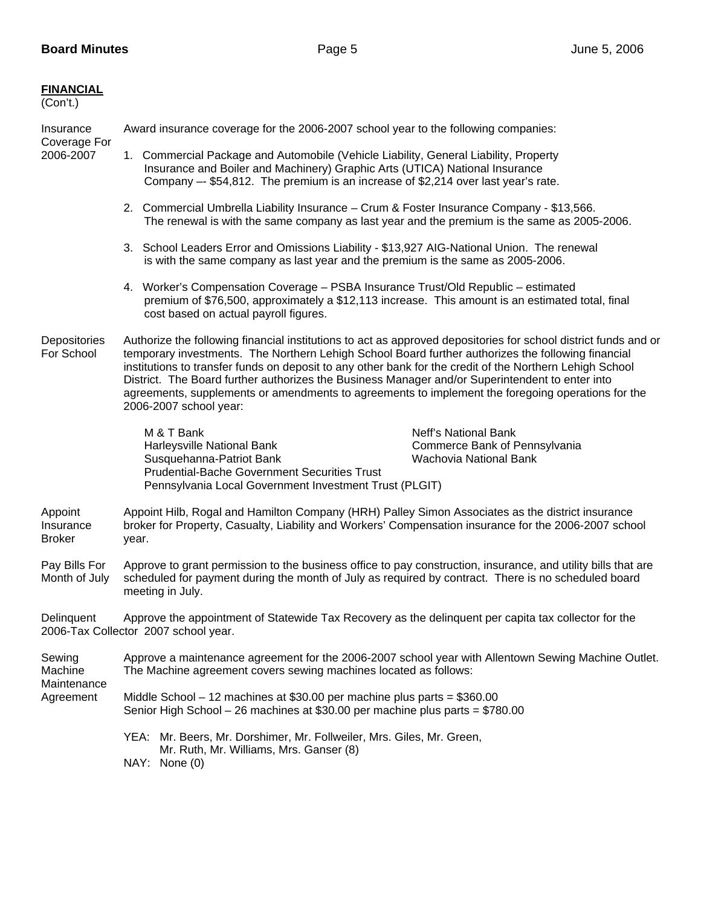| <b>FINANCIAL</b><br>(Con't.)                  |                                                                                                                                                                                                                                                                                                                                                                                                                                                                                                                                                                     |  |  |  |
|-----------------------------------------------|---------------------------------------------------------------------------------------------------------------------------------------------------------------------------------------------------------------------------------------------------------------------------------------------------------------------------------------------------------------------------------------------------------------------------------------------------------------------------------------------------------------------------------------------------------------------|--|--|--|
| Insurance<br>Coverage For<br>2006-2007        | Award insurance coverage for the 2006-2007 school year to the following companies:                                                                                                                                                                                                                                                                                                                                                                                                                                                                                  |  |  |  |
|                                               | 1. Commercial Package and Automobile (Vehicle Liability, General Liability, Property<br>Insurance and Boiler and Machinery) Graphic Arts (UTICA) National Insurance<br>Company -- \$54,812. The premium is an increase of \$2,214 over last year's rate.                                                                                                                                                                                                                                                                                                            |  |  |  |
|                                               | 2. Commercial Umbrella Liability Insurance - Crum & Foster Insurance Company - \$13,566.<br>The renewal is with the same company as last year and the premium is the same as 2005-2006.                                                                                                                                                                                                                                                                                                                                                                             |  |  |  |
|                                               | 3. School Leaders Error and Omissions Liability - \$13,927 AIG-National Union. The renewal<br>is with the same company as last year and the premium is the same as 2005-2006.                                                                                                                                                                                                                                                                                                                                                                                       |  |  |  |
|                                               | 4. Worker's Compensation Coverage - PSBA Insurance Trust/Old Republic - estimated<br>premium of \$76,500, approximately a \$12,113 increase. This amount is an estimated total, final<br>cost based on actual payroll figures.                                                                                                                                                                                                                                                                                                                                      |  |  |  |
| Depositories<br>For School                    | Authorize the following financial institutions to act as approved depositories for school district funds and or<br>temporary investments. The Northern Lehigh School Board further authorizes the following financial<br>institutions to transfer funds on deposit to any other bank for the credit of the Northern Lehigh School<br>District. The Board further authorizes the Business Manager and/or Superintendent to enter into<br>agreements, supplements or amendments to agreements to implement the foregoing operations for the<br>2006-2007 school year: |  |  |  |
|                                               | M & T Bank<br>Neff's National Bank<br>Harleysville National Bank<br>Commerce Bank of Pennsylvania<br>Susquehanna-Patriot Bank<br>Wachovia National Bank<br><b>Prudential-Bache Government Securities Trust</b><br>Pennsylvania Local Government Investment Trust (PLGIT)                                                                                                                                                                                                                                                                                            |  |  |  |
| Appoint<br>Insurance<br><b>Broker</b>         | Appoint Hilb, Rogal and Hamilton Company (HRH) Palley Simon Associates as the district insurance<br>broker for Property, Casualty, Liability and Workers' Compensation insurance for the 2006-2007 school<br>year.                                                                                                                                                                                                                                                                                                                                                  |  |  |  |
| Pay Bills For<br>Month of July                | Approve to grant permission to the business office to pay construction, insurance, and utility bills that are<br>scheduled for payment during the month of July as required by contract. There is no scheduled board<br>meeting in July.                                                                                                                                                                                                                                                                                                                            |  |  |  |
| Delinquent                                    | Approve the appointment of Statewide Tax Recovery as the delinguent per capita tax collector for the<br>2006-Tax Collector 2007 school year.                                                                                                                                                                                                                                                                                                                                                                                                                        |  |  |  |
| Sewing<br>Machine<br>Maintenance<br>Agreement | Approve a maintenance agreement for the 2006-2007 school year with Allentown Sewing Machine Outlet.<br>The Machine agreement covers sewing machines located as follows:                                                                                                                                                                                                                                                                                                                                                                                             |  |  |  |
|                                               | Middle School $-12$ machines at \$30.00 per machine plus parts = \$360.00<br>Senior High School – 26 machines at \$30.00 per machine plus parts = $$780.00$                                                                                                                                                                                                                                                                                                                                                                                                         |  |  |  |
|                                               | YEA: Mr. Beers, Mr. Dorshimer, Mr. Follweiler, Mrs. Giles, Mr. Green,<br>Mr. Ruth, Mr. Williams, Mrs. Ganser (8)<br>NAY: None (0)                                                                                                                                                                                                                                                                                                                                                                                                                                   |  |  |  |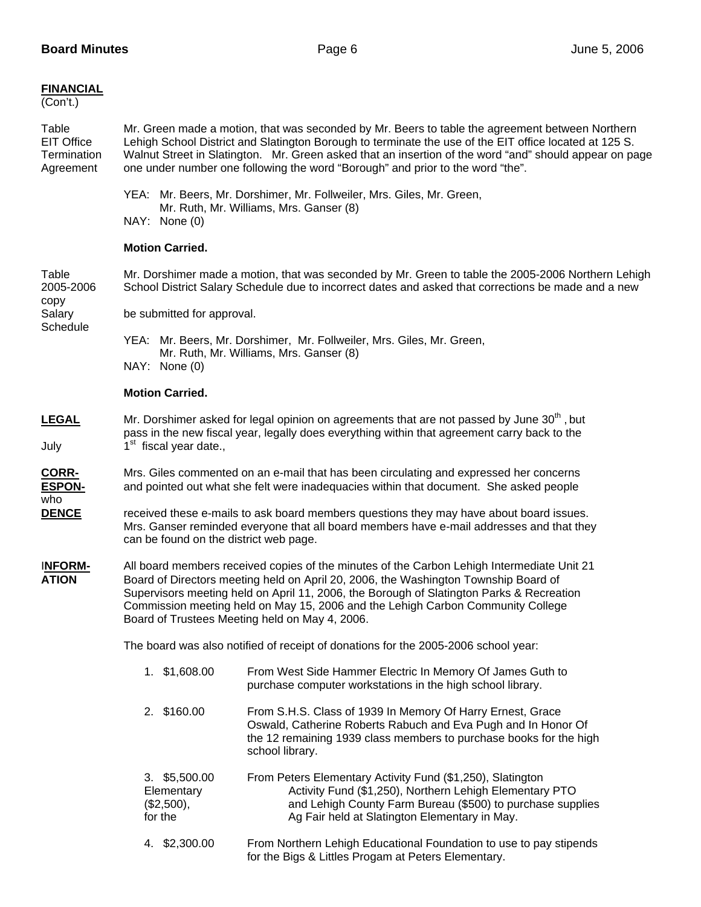| <b>FINANCIAL</b><br>(Con't.)                           |                                                                                                                                                                                                                                                                                                                                                                                                                    |                                                                                                                                                                                                                                      |  |  |
|--------------------------------------------------------|--------------------------------------------------------------------------------------------------------------------------------------------------------------------------------------------------------------------------------------------------------------------------------------------------------------------------------------------------------------------------------------------------------------------|--------------------------------------------------------------------------------------------------------------------------------------------------------------------------------------------------------------------------------------|--|--|
| Table<br><b>EIT Office</b><br>Termination<br>Agreement | Mr. Green made a motion, that was seconded by Mr. Beers to table the agreement between Northern<br>Lehigh School District and Slatington Borough to terminate the use of the EIT office located at 125 S.<br>Walnut Street in Slatington. Mr. Green asked that an insertion of the word "and" should appear on page<br>one under number one following the word "Borough" and prior to the word "the".              |                                                                                                                                                                                                                                      |  |  |
|                                                        | YEA: Mr. Beers, Mr. Dorshimer, Mr. Follweiler, Mrs. Giles, Mr. Green,<br>Mr. Ruth, Mr. Williams, Mrs. Ganser (8)<br>NAY: None (0)                                                                                                                                                                                                                                                                                  |                                                                                                                                                                                                                                      |  |  |
|                                                        | <b>Motion Carried.</b>                                                                                                                                                                                                                                                                                                                                                                                             |                                                                                                                                                                                                                                      |  |  |
| Table<br>2005-2006                                     |                                                                                                                                                                                                                                                                                                                                                                                                                    | Mr. Dorshimer made a motion, that was seconded by Mr. Green to table the 2005-2006 Northern Lehigh<br>School District Salary Schedule due to incorrect dates and asked that corrections be made and a new                            |  |  |
| copy<br>Salary<br>Schedule                             | be submitted for approval.                                                                                                                                                                                                                                                                                                                                                                                         |                                                                                                                                                                                                                                      |  |  |
|                                                        | YEA: Mr. Beers, Mr. Dorshimer, Mr. Follweiler, Mrs. Giles, Mr. Green,<br>Mr. Ruth, Mr. Williams, Mrs. Ganser (8)<br>NAY: None (0)                                                                                                                                                                                                                                                                                  |                                                                                                                                                                                                                                      |  |  |
|                                                        | <b>Motion Carried.</b>                                                                                                                                                                                                                                                                                                                                                                                             |                                                                                                                                                                                                                                      |  |  |
| <b>LEGAL</b><br>July                                   | Mr. Dorshimer asked for legal opinion on agreements that are not passed by June 30 <sup>th</sup> , but<br>pass in the new fiscal year, legally does everything within that agreement carry back to the<br>1 <sup>st</sup> fiscal year date.,                                                                                                                                                                       |                                                                                                                                                                                                                                      |  |  |
| <b>CORR-</b><br><b>ESPON-</b><br>who                   | Mrs. Giles commented on an e-mail that has been circulating and expressed her concerns<br>and pointed out what she felt were inadequacies within that document. She asked people                                                                                                                                                                                                                                   |                                                                                                                                                                                                                                      |  |  |
| <b>DENCE</b>                                           | can be found on the district web page.                                                                                                                                                                                                                                                                                                                                                                             | received these e-mails to ask board members questions they may have about board issues.<br>Mrs. Ganser reminded everyone that all board members have e-mail addresses and that they                                                  |  |  |
| <b>INFORM-</b><br><b>ATION</b>                         | All board members received copies of the minutes of the Carbon Lehigh Intermediate Unit 21<br>Board of Directors meeting held on April 20, 2006, the Washington Township Board of<br>Supervisors meeting held on April 11, 2006, the Borough of Slatington Parks & Recreation<br>Commission meeting held on May 15, 2006 and the Lehigh Carbon Community College<br>Board of Trustees Meeting held on May 4, 2006. |                                                                                                                                                                                                                                      |  |  |
|                                                        | The board was also notified of receipt of donations for the 2005-2006 school year:                                                                                                                                                                                                                                                                                                                                 |                                                                                                                                                                                                                                      |  |  |
|                                                        | 1. \$1,608.00                                                                                                                                                                                                                                                                                                                                                                                                      | From West Side Hammer Electric In Memory Of James Guth to<br>purchase computer workstations in the high school library.                                                                                                              |  |  |
|                                                        | 2. \$160.00                                                                                                                                                                                                                                                                                                                                                                                                        | From S.H.S. Class of 1939 In Memory Of Harry Ernest, Grace<br>Oswald, Catherine Roberts Rabuch and Eva Pugh and In Honor Of<br>the 12 remaining 1939 class members to purchase books for the high<br>school library.                 |  |  |
|                                                        | 3. \$5,500.00<br>Elementary<br>(\$2,500),<br>for the                                                                                                                                                                                                                                                                                                                                                               | From Peters Elementary Activity Fund (\$1,250), Slatington<br>Activity Fund (\$1,250), Northern Lehigh Elementary PTO<br>and Lehigh County Farm Bureau (\$500) to purchase supplies<br>Ag Fair held at Slatington Elementary in May. |  |  |
|                                                        | 4. \$2,300.00                                                                                                                                                                                                                                                                                                                                                                                                      | From Northern Lehigh Educational Foundation to use to pay stipends<br>for the Bigs & Littles Progam at Peters Elementary.                                                                                                            |  |  |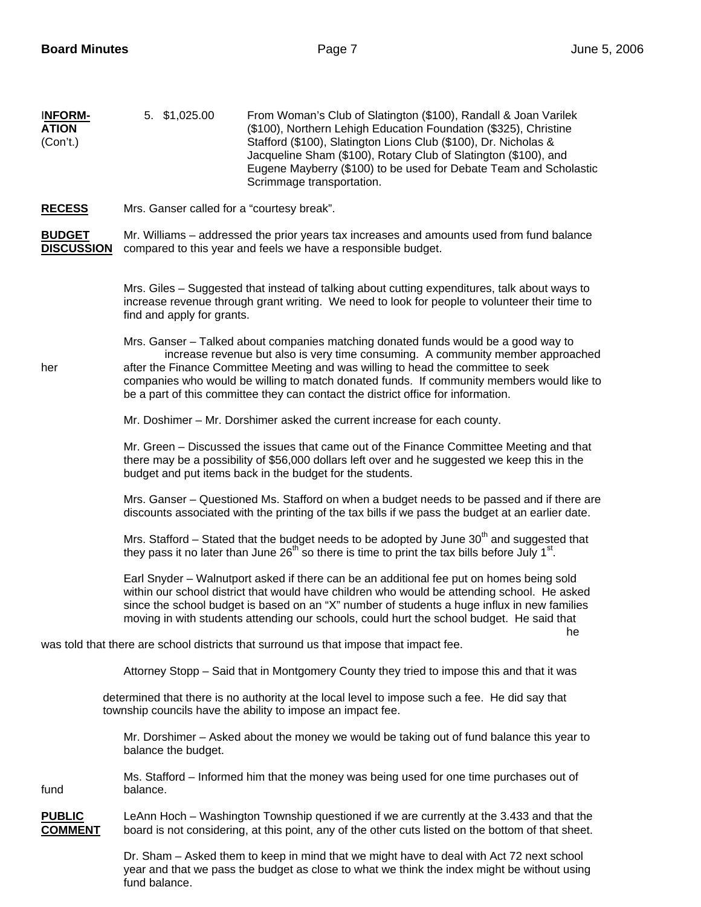| <b>INFORM-</b><br><b>ATION</b><br>(Con't.) | 5. \$1,025.00                              | From Woman's Club of Slatington (\$100), Randall & Joan Varilek<br>(\$100), Northern Lehigh Education Foundation (\$325), Christine<br>Stafford (\$100), Slatington Lions Club (\$100), Dr. Nicholas &<br>Jacqueline Sham (\$100), Rotary Club of Slatington (\$100), and<br>Eugene Mayberry (\$100) to be used for Debate Team and Scholastic<br>Scrimmage transportation.                                                                  |
|--------------------------------------------|--------------------------------------------|----------------------------------------------------------------------------------------------------------------------------------------------------------------------------------------------------------------------------------------------------------------------------------------------------------------------------------------------------------------------------------------------------------------------------------------------|
| <b>RECESS</b>                              | Mrs. Ganser called for a "courtesy break". |                                                                                                                                                                                                                                                                                                                                                                                                                                              |
| <b>BUDGET</b><br><b>DISCUSSION</b>         |                                            | Mr. Williams – addressed the prior years tax increases and amounts used from fund balance<br>compared to this year and feels we have a responsible budget.                                                                                                                                                                                                                                                                                   |
|                                            | find and apply for grants.                 | Mrs. Giles – Suggested that instead of talking about cutting expenditures, talk about ways to<br>increase revenue through grant writing. We need to look for people to volunteer their time to                                                                                                                                                                                                                                               |
| her                                        |                                            | Mrs. Ganser – Talked about companies matching donated funds would be a good way to<br>increase revenue but also is very time consuming. A community member approached<br>after the Finance Committee Meeting and was willing to head the committee to seek<br>companies who would be willing to match donated funds. If community members would like to<br>be a part of this committee they can contact the district office for information. |
|                                            |                                            | Mr. Doshimer - Mr. Dorshimer asked the current increase for each county.                                                                                                                                                                                                                                                                                                                                                                     |
|                                            |                                            | Mr. Green - Discussed the issues that came out of the Finance Committee Meeting and that<br>there may be a possibility of \$56,000 dollars left over and he suggested we keep this in the<br>budget and put items back in the budget for the students.                                                                                                                                                                                       |
|                                            |                                            | Mrs. Ganser - Questioned Ms. Stafford on when a budget needs to be passed and if there are<br>discounts associated with the printing of the tax bills if we pass the budget at an earlier date.                                                                                                                                                                                                                                              |
|                                            |                                            | Mrs. Stafford - Stated that the budget needs to be adopted by June 30 <sup>th</sup> and suggested that<br>they pass it no later than June 26 <sup>th</sup> so there is time to print the tax bills before July 1 <sup>st</sup> .                                                                                                                                                                                                             |
|                                            |                                            | Earl Snyder – Walnutport asked if there can be an additional fee put on homes being sold<br>within our school district that would have children who would be attending school. He asked<br>since the school budget is based on an "X" number of students a huge influx in new families<br>moving in with students attending our schools, could hurt the school budget. He said that                                                          |
|                                            |                                            | he<br>was told that there are school districts that surround us that impose that impact fee.                                                                                                                                                                                                                                                                                                                                                 |
|                                            |                                            | Attorney Stopp – Said that in Montgomery County they tried to impose this and that it was                                                                                                                                                                                                                                                                                                                                                    |
|                                            |                                            | determined that there is no authority at the local level to impose such a fee. He did say that<br>township councils have the ability to impose an impact fee.                                                                                                                                                                                                                                                                                |
|                                            | balance the budget.                        | Mr. Dorshimer – Asked about the money we would be taking out of fund balance this year to                                                                                                                                                                                                                                                                                                                                                    |
| fund                                       | balance.                                   | Ms. Stafford – Informed him that the money was being used for one time purchases out of                                                                                                                                                                                                                                                                                                                                                      |
| <b>PUBLIC</b><br><b>COMMENT</b>            |                                            | LeAnn Hoch – Washington Township questioned if we are currently at the 3.433 and that the<br>board is not considering, at this point, any of the other cuts listed on the bottom of that sheet.                                                                                                                                                                                                                                              |
|                                            | fund balance.                              | Dr. Sham – Asked them to keep in mind that we might have to deal with Act 72 next school<br>year and that we pass the budget as close to what we think the index might be without using                                                                                                                                                                                                                                                      |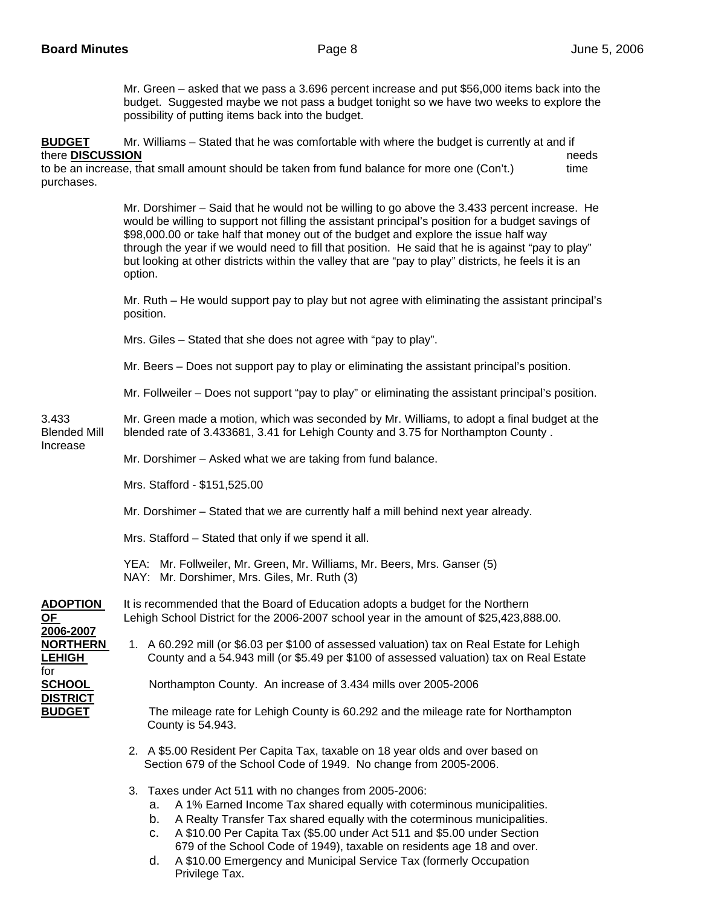for

**DISTRICT** 

Mr. Green – asked that we pass a 3.696 percent increase and put \$56,000 items back into the budget. Suggested maybe we not pass a budget tonight so we have two weeks to explore the possibility of putting items back into the budget.

**BUDGET** Mr. Williams – Stated that he was comfortable with where the budget is currently at and if there **DISCUSSION** needs

to be an increase, that small amount should be taken from fund balance for more one (Con't.) time purchases.

> Mr. Dorshimer – Said that he would not be willing to go above the 3.433 percent increase. He would be willing to support not filling the assistant principal's position for a budget savings of \$98,000.00 or take half that money out of the budget and explore the issue half way through the year if we would need to fill that position. He said that he is against "pay to play" but looking at other districts within the valley that are "pay to play" districts, he feels it is an option.

> Mr. Ruth – He would support pay to play but not agree with eliminating the assistant principal's position.

Mrs. Giles – Stated that she does not agree with "pay to play".

Mr. Beers – Does not support pay to play or eliminating the assistant principal's position.

Mr. Follweiler – Does not support "pay to play" or eliminating the assistant principal's position.

3.433 Mr. Green made a motion, which was seconded by Mr. Williams, to adopt a final budget at the Blended Mill blended rate of 3.433681, 3.41 for Lehigh County and 3.75 for Northampton County . Increase

Mr. Dorshimer – Asked what we are taking from fund balance.

Mrs. Stafford - \$151,525.00

Mr. Dorshimer – Stated that we are currently half a mill behind next year already.

Mrs. Stafford – Stated that only if we spend it all.

 YEA: Mr. Follweiler, Mr. Green, Mr. Williams, Mr. Beers, Mrs. Ganser (5) NAY: Mr. Dorshimer, Mrs. Giles, Mr. Ruth (3)

#### **ADOPTION** It is recommended that the Board of Education adopts a budget for the Northern **OF** Lehigh School District for the 2006-2007 school year in the amount of \$25,423,888.00. **2006-2007**

## **NORTHERN** 1. A 60.292 mill (or \$6.03 per \$100 of assessed valuation) tax on Real Estate for Lehigh LEHIGH **County and a 54.943 mill (or \$5.49 per \$100 of assessed valuation) tax on Real Estate**

**SCHOOL** Northampton County. An increase of 3.434 mills over 2005-2006

**BUDGET** The mileage rate for Lehigh County is 60.292 and the mileage rate for Northampton County is 54.943.

- 2. A \$5.00 Resident Per Capita Tax, taxable on 18 year olds and over based on Section 679 of the School Code of 1949. No change from 2005-2006.
- 3. Taxes under Act 511 with no changes from 2005-2006:
	- a. A 1% Earned Income Tax shared equally with coterminous municipalities.
	- b. A Realty Transfer Tax shared equally with the coterminous municipalities.
	- c. A \$10.00 Per Capita Tax (\$5.00 under Act 511 and \$5.00 under Section 679 of the School Code of 1949), taxable on residents age 18 and over.
	- d. A \$10.00 Emergency and Municipal Service Tax (formerly Occupation Privilege Tax.